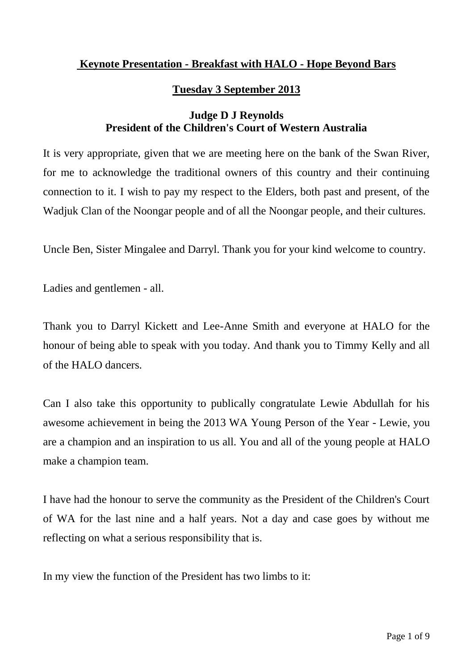## **Keynote Presentation - Breakfast with HALO - Hope Beyond Bars**

## **Tuesday 3 September 2013**

## **Judge D J Reynolds President of the Children's Court of Western Australia**

It is very appropriate, given that we are meeting here on the bank of the Swan River, for me to acknowledge the traditional owners of this country and their continuing connection to it. I wish to pay my respect to the Elders, both past and present, of the Wadjuk Clan of the Noongar people and of all the Noongar people, and their cultures.

Uncle Ben, Sister Mingalee and Darryl. Thank you for your kind welcome to country.

Ladies and gentlemen - all.

Thank you to Darryl Kickett and Lee-Anne Smith and everyone at HALO for the honour of being able to speak with you today. And thank you to Timmy Kelly and all of the HALO dancers.

Can I also take this opportunity to publically congratulate Lewie Abdullah for his awesome achievement in being the 2013 WA Young Person of the Year - Lewie, you are a champion and an inspiration to us all. You and all of the young people at HALO make a champion team.

I have had the honour to serve the community as the President of the Children's Court of WA for the last nine and a half years. Not a day and case goes by without me reflecting on what a serious responsibility that is.

In my view the function of the President has two limbs to it: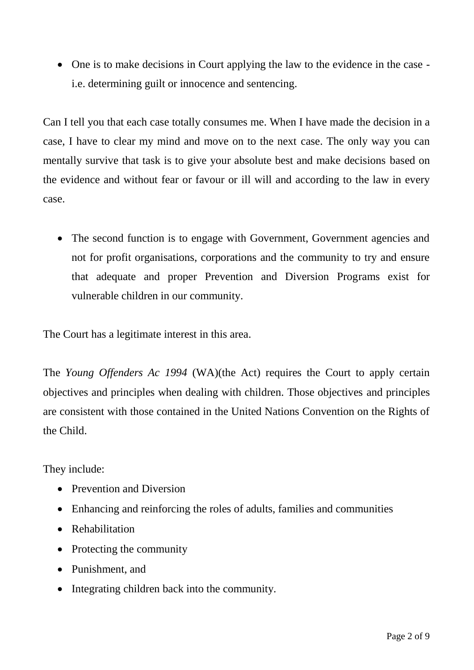One is to make decisions in Court applying the law to the evidence in the case i.e. determining guilt or innocence and sentencing.

Can I tell you that each case totally consumes me. When I have made the decision in a case, I have to clear my mind and move on to the next case. The only way you can mentally survive that task is to give your absolute best and make decisions based on the evidence and without fear or favour or ill will and according to the law in every case.

• The second function is to engage with Government, Government agencies and not for profit organisations, corporations and the community to try and ensure that adequate and proper Prevention and Diversion Programs exist for vulnerable children in our community.

The Court has a legitimate interest in this area.

The *Young Offenders Ac 1994* (WA)(the Act) requires the Court to apply certain objectives and principles when dealing with children. Those objectives and principles are consistent with those contained in the United Nations Convention on the Rights of the Child.

They include:

- Prevention and Diversion
- Enhancing and reinforcing the roles of adults, families and communities
- Rehabilitation
- Protecting the community
- Punishment, and
- Integrating children back into the community.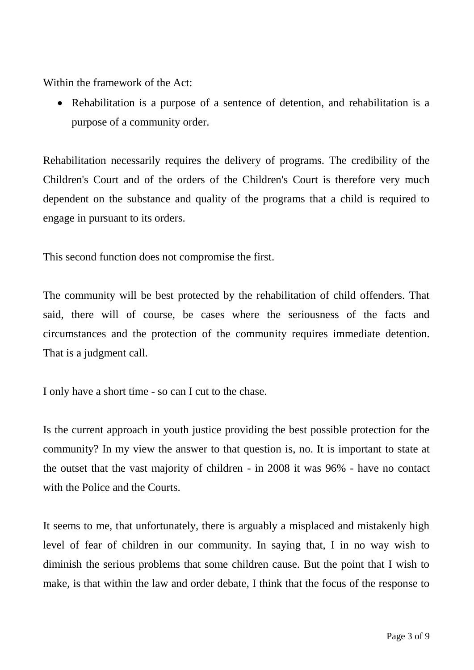Within the framework of the Act:

 Rehabilitation is a purpose of a sentence of detention, and rehabilitation is a purpose of a community order.

Rehabilitation necessarily requires the delivery of programs. The credibility of the Children's Court and of the orders of the Children's Court is therefore very much dependent on the substance and quality of the programs that a child is required to engage in pursuant to its orders.

This second function does not compromise the first.

The community will be best protected by the rehabilitation of child offenders. That said, there will of course, be cases where the seriousness of the facts and circumstances and the protection of the community requires immediate detention. That is a judgment call.

I only have a short time - so can I cut to the chase.

Is the current approach in youth justice providing the best possible protection for the community? In my view the answer to that question is, no. It is important to state at the outset that the vast majority of children - in 2008 it was 96% - have no contact with the Police and the Courts.

It seems to me, that unfortunately, there is arguably a misplaced and mistakenly high level of fear of children in our community. In saying that, I in no way wish to diminish the serious problems that some children cause. But the point that I wish to make, is that within the law and order debate, I think that the focus of the response to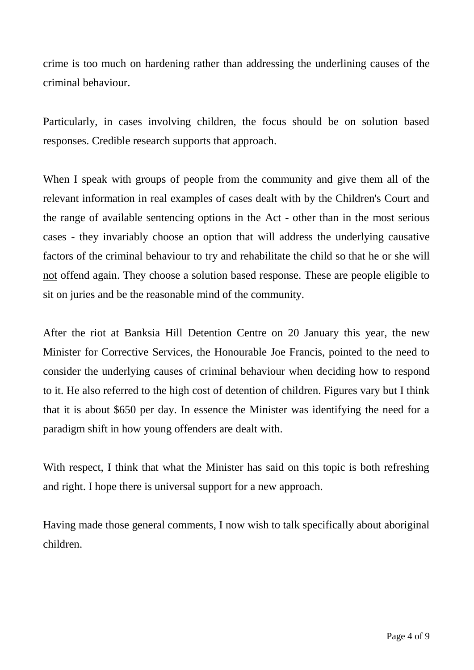crime is too much on hardening rather than addressing the underlining causes of the criminal behaviour.

Particularly, in cases involving children, the focus should be on solution based responses. Credible research supports that approach.

When I speak with groups of people from the community and give them all of the relevant information in real examples of cases dealt with by the Children's Court and the range of available sentencing options in the Act - other than in the most serious cases - they invariably choose an option that will address the underlying causative factors of the criminal behaviour to try and rehabilitate the child so that he or she will not offend again. They choose a solution based response. These are people eligible to sit on juries and be the reasonable mind of the community.

After the riot at Banksia Hill Detention Centre on 20 January this year, the new Minister for Corrective Services, the Honourable Joe Francis, pointed to the need to consider the underlying causes of criminal behaviour when deciding how to respond to it. He also referred to the high cost of detention of children. Figures vary but I think that it is about \$650 per day. In essence the Minister was identifying the need for a paradigm shift in how young offenders are dealt with.

With respect, I think that what the Minister has said on this topic is both refreshing and right. I hope there is universal support for a new approach.

Having made those general comments, I now wish to talk specifically about aboriginal children.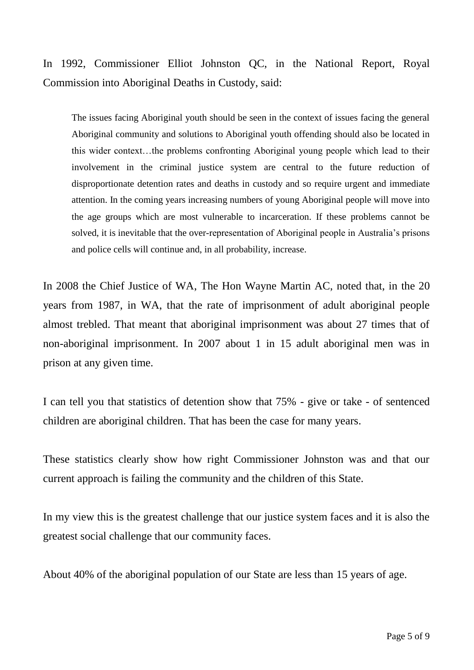In 1992, Commissioner Elliot Johnston QC, in the National Report, Royal Commission into Aboriginal Deaths in Custody, said:

The issues facing Aboriginal youth should be seen in the context of issues facing the general Aboriginal community and solutions to Aboriginal youth offending should also be located in this wider context…the problems confronting Aboriginal young people which lead to their involvement in the criminal justice system are central to the future reduction of disproportionate detention rates and deaths in custody and so require urgent and immediate attention. In the coming years increasing numbers of young Aboriginal people will move into the age groups which are most vulnerable to incarceration. If these problems cannot be solved, it is inevitable that the over-representation of Aboriginal people in Australia's prisons and police cells will continue and, in all probability, increase.

In 2008 the Chief Justice of WA, The Hon Wayne Martin AC, noted that, in the 20 years from 1987, in WA, that the rate of imprisonment of adult aboriginal people almost trebled. That meant that aboriginal imprisonment was about 27 times that of non-aboriginal imprisonment. In 2007 about 1 in 15 adult aboriginal men was in prison at any given time.

I can tell you that statistics of detention show that 75% - give or take - of sentenced children are aboriginal children. That has been the case for many years.

These statistics clearly show how right Commissioner Johnston was and that our current approach is failing the community and the children of this State.

In my view this is the greatest challenge that our justice system faces and it is also the greatest social challenge that our community faces.

About 40% of the aboriginal population of our State are less than 15 years of age.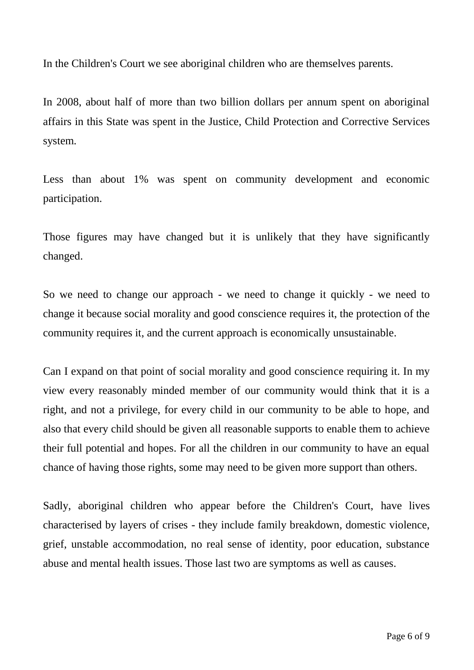In the Children's Court we see aboriginal children who are themselves parents.

In 2008, about half of more than two billion dollars per annum spent on aboriginal affairs in this State was spent in the Justice, Child Protection and Corrective Services system.

Less than about 1% was spent on community development and economic participation.

Those figures may have changed but it is unlikely that they have significantly changed.

So we need to change our approach - we need to change it quickly - we need to change it because social morality and good conscience requires it, the protection of the community requires it, and the current approach is economically unsustainable.

Can I expand on that point of social morality and good conscience requiring it. In my view every reasonably minded member of our community would think that it is a right, and not a privilege, for every child in our community to be able to hope, and also that every child should be given all reasonable supports to enable them to achieve their full potential and hopes. For all the children in our community to have an equal chance of having those rights, some may need to be given more support than others.

Sadly, aboriginal children who appear before the Children's Court, have lives characterised by layers of crises - they include family breakdown, domestic violence, grief, unstable accommodation, no real sense of identity, poor education, substance abuse and mental health issues. Those last two are symptoms as well as causes.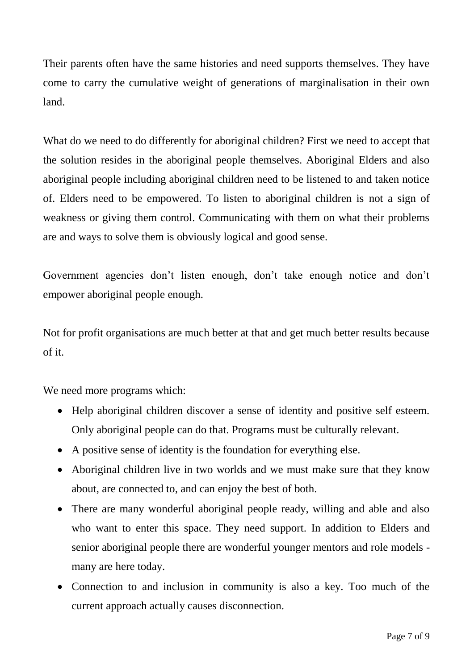Their parents often have the same histories and need supports themselves. They have come to carry the cumulative weight of generations of marginalisation in their own land.

What do we need to do differently for aboriginal children? First we need to accept that the solution resides in the aboriginal people themselves. Aboriginal Elders and also aboriginal people including aboriginal children need to be listened to and taken notice of. Elders need to be empowered. To listen to aboriginal children is not a sign of weakness or giving them control. Communicating with them on what their problems are and ways to solve them is obviously logical and good sense.

Government agencies don't listen enough, don't take enough notice and don't empower aboriginal people enough.

Not for profit organisations are much better at that and get much better results because of it.

We need more programs which:

- Help aboriginal children discover a sense of identity and positive self esteem. Only aboriginal people can do that. Programs must be culturally relevant.
- A positive sense of identity is the foundation for everything else.
- Aboriginal children live in two worlds and we must make sure that they know about, are connected to, and can enjoy the best of both.
- There are many wonderful aboriginal people ready, willing and able and also who want to enter this space. They need support. In addition to Elders and senior aboriginal people there are wonderful younger mentors and role models many are here today.
- Connection to and inclusion in community is also a key. Too much of the current approach actually causes disconnection.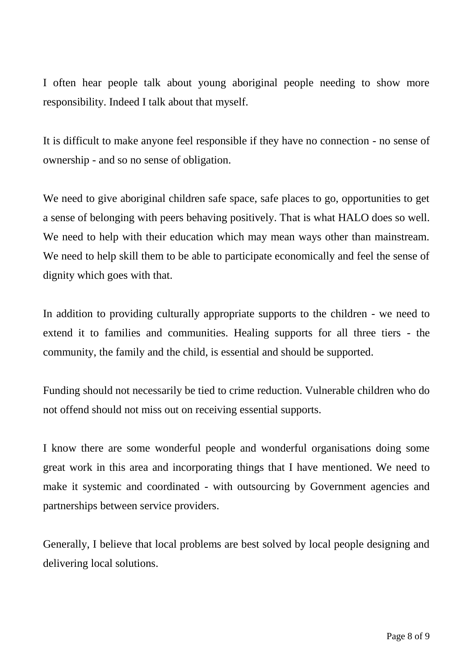I often hear people talk about young aboriginal people needing to show more responsibility. Indeed I talk about that myself.

It is difficult to make anyone feel responsible if they have no connection - no sense of ownership - and so no sense of obligation.

We need to give aboriginal children safe space, safe places to go, opportunities to get a sense of belonging with peers behaving positively. That is what HALO does so well. We need to help with their education which may mean ways other than mainstream. We need to help skill them to be able to participate economically and feel the sense of dignity which goes with that.

In addition to providing culturally appropriate supports to the children - we need to extend it to families and communities. Healing supports for all three tiers - the community, the family and the child, is essential and should be supported.

Funding should not necessarily be tied to crime reduction. Vulnerable children who do not offend should not miss out on receiving essential supports.

I know there are some wonderful people and wonderful organisations doing some great work in this area and incorporating things that I have mentioned. We need to make it systemic and coordinated - with outsourcing by Government agencies and partnerships between service providers.

Generally, I believe that local problems are best solved by local people designing and delivering local solutions.